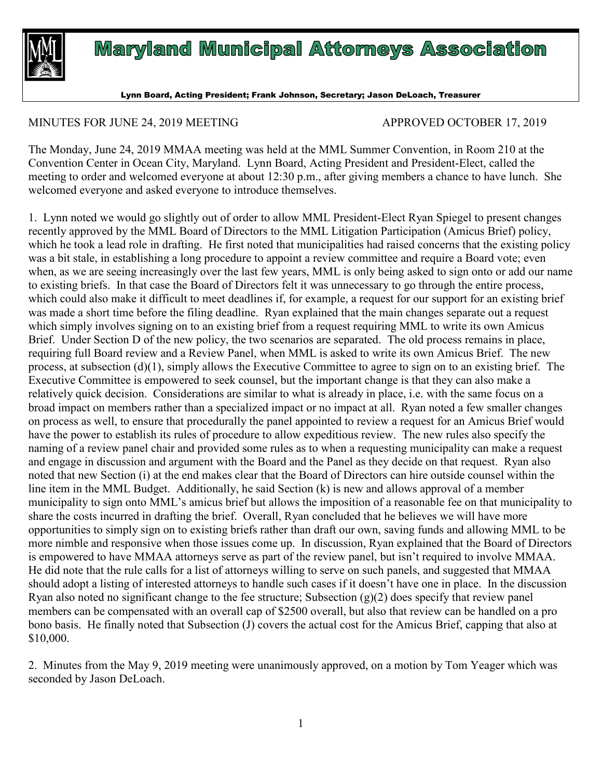

## **Maryland Municipal Attorneys Association**

Lynn Board, Acting President; Frank Johnson, Secretary; Jason DeLoach, Treasurer

## MINUTES FOR JUNE 24, 2019 MEETING APPROVED OCTOBER 17, 2019

The Monday, June 24, 2019 MMAA meeting was held at the MML Summer Convention, in Room 210 at the Convention Center in Ocean City, Maryland. Lynn Board, Acting President and President-Elect, called the meeting to order and welcomed everyone at about 12:30 p.m., after giving members a chance to have lunch. She welcomed everyone and asked everyone to introduce themselves.

1. Lynn noted we would go slightly out of order to allow MML President-Elect Ryan Spiegel to present changes recently approved by the MML Board of Directors to the MML Litigation Participation (Amicus Brief) policy, which he took a lead role in drafting. He first noted that municipalities had raised concerns that the existing policy was a bit stale, in establishing a long procedure to appoint a review committee and require a Board vote; even when, as we are seeing increasingly over the last few years, MML is only being asked to sign onto or add our name to existing briefs. In that case the Board of Directors felt it was unnecessary to go through the entire process, which could also make it difficult to meet deadlines if, for example, a request for our support for an existing brief was made a short time before the filing deadline. Ryan explained that the main changes separate out a request which simply involves signing on to an existing brief from a request requiring MML to write its own Amicus Brief. Under Section D of the new policy, the two scenarios are separated. The old process remains in place, requiring full Board review and a Review Panel, when MML is asked to write its own Amicus Brief. The new process, at subsection (d)(1), simply allows the Executive Committee to agree to sign on to an existing brief. The Executive Committee is empowered to seek counsel, but the important change is that they can also make a relatively quick decision. Considerations are similar to what is already in place, i.e. with the same focus on a broad impact on members rather than a specialized impact or no impact at all. Ryan noted a few smaller changes on process as well, to ensure that procedurally the panel appointed to review a request for an Amicus Brief would have the power to establish its rules of procedure to allow expeditious review. The new rules also specify the naming of a review panel chair and provided some rules as to when a requesting municipality can make a request and engage in discussion and argument with the Board and the Panel as they decide on that request. Ryan also noted that new Section (i) at the end makes clear that the Board of Directors can hire outside counsel within the line item in the MML Budget. Additionally, he said Section (k) is new and allows approval of a member municipality to sign onto MML's amicus brief but allows the imposition of a reasonable fee on that municipality to share the costs incurred in drafting the brief. Overall, Ryan concluded that he believes we will have more opportunities to simply sign on to existing briefs rather than draft our own, saving funds and allowing MML to be more nimble and responsive when those issues come up. In discussion, Ryan explained that the Board of Directors is empowered to have MMAA attorneys serve as part of the review panel, but isn't required to involve MMAA. He did note that the rule calls for a list of attorneys willing to serve on such panels, and suggested that MMAA should adopt a listing of interested attorneys to handle such cases if it doesn't have one in place. In the discussion Ryan also noted no significant change to the fee structure; Subsection  $(g)(2)$  does specify that review panel members can be compensated with an overall cap of \$2500 overall, but also that review can be handled on a pro bono basis. He finally noted that Subsection (J) covers the actual cost for the Amicus Brief, capping that also at \$10,000.

2. Minutes from the May 9, 2019 meeting were unanimously approved, on a motion by Tom Yeager which was seconded by Jason DeLoach.